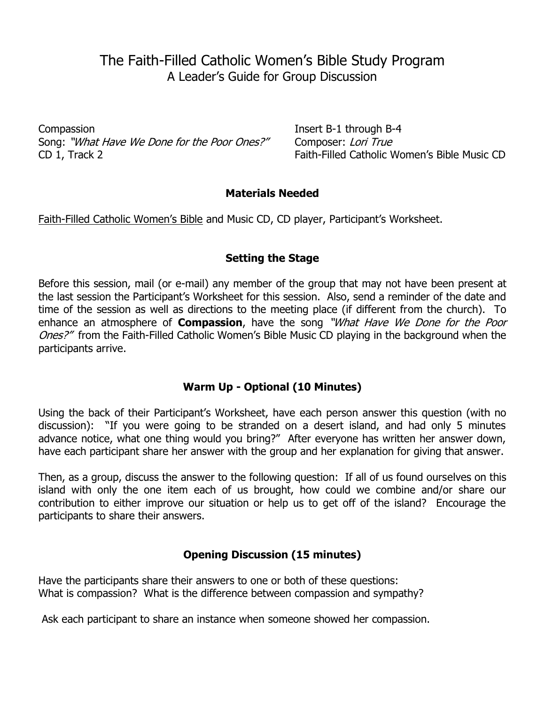# The Faith-Filled Catholic Women's Bible Study Program A Leader's Guide for Group Discussion

Compassion **Insert B-1 through B-4** Song: "What Have We Done for the Poor Ones?" Composer: Lori True CD 1, Track 2 **Faith-Filled Catholic Women's Bible Music CD** 

### **Materials Needed**

Faith-Filled Catholic Women's Bible and Music CD, CD player, Participant's Worksheet.

## **Setting the Stage**

Before this session, mail (or e-mail) any member of the group that may not have been present at the last session the Participant's Worksheet for this session. Also, send a reminder of the date and time of the session as well as directions to the meeting place (if different from the church). To enhance an atmosphere of **Compassion**, have the song "What Have We Done for the Poor Ones?" from the Faith-Filled Catholic Women's Bible Music CD playing in the background when the participants arrive.

# **Warm Up - Optional (10 Minutes)**

Using the back of their Participant's Worksheet, have each person answer this question (with no discussion): "If you were going to be stranded on a desert island, and had only 5 minutes advance notice, what one thing would you bring?" After everyone has written her answer down, have each participant share her answer with the group and her explanation for giving that answer.

Then, as a group, discuss the answer to the following question: If all of us found ourselves on this island with only the one item each of us brought, how could we combine and/or share our contribution to either improve our situation or help us to get off of the island? Encourage the participants to share their answers.

# **Opening Discussion (15 minutes)**

Have the participants share their answers to one or both of these questions: What is compassion? What is the difference between compassion and sympathy?

Ask each participant to share an instance when someone showed her compassion.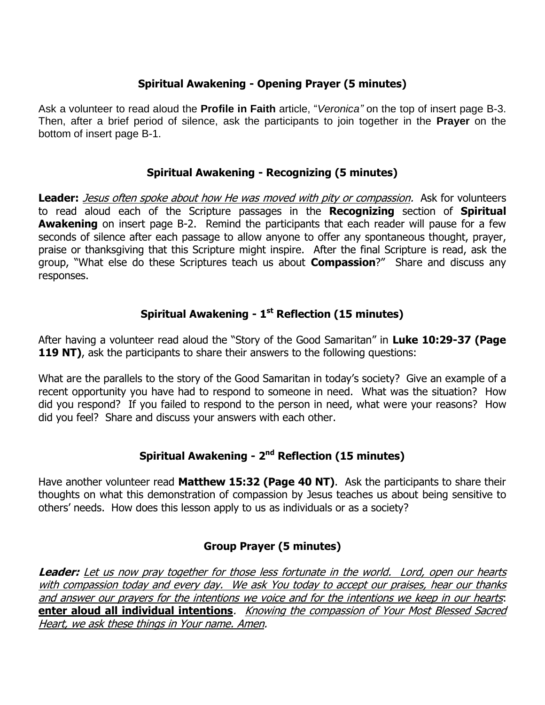# **Spiritual Awakening - Opening Prayer (5 minutes)**

Ask a volunteer to read aloud the **Profile in Faith** article, "*Veronica"* on the top of insert page B-3. Then, after a brief period of silence, ask the participants to join together in the **Prayer** on the bottom of insert page B-1.

## **Spiritual Awakening - Recognizing (5 minutes)**

**Leader:** Jesus often spoke about how He was moved with pity or compassion. Ask for volunteers to read aloud each of the Scripture passages in the **Recognizing** section of **Spiritual Awakening** on insert page B-2. Remind the participants that each reader will pause for a few seconds of silence after each passage to allow anyone to offer any spontaneous thought, prayer, praise or thanksgiving that this Scripture might inspire. After the final Scripture is read, ask the group, "What else do these Scriptures teach us about **Compassion**?" Share and discuss any responses.

# **Spiritual Awakening - 1 st Reflection (15 minutes)**

After having a volunteer read aloud the "Story of the Good Samaritan" in **Luke 10:29-37 (Page 119 NT)**, ask the participants to share their answers to the following questions:

What are the parallels to the story of the Good Samaritan in today's society? Give an example of a recent opportunity you have had to respond to someone in need. What was the situation? How did you respond? If you failed to respond to the person in need, what were your reasons? How did you feel? Share and discuss your answers with each other.

# **Spiritual Awakening - 2 nd Reflection (15 minutes)**

Have another volunteer read **Matthew 15:32 (Page 40 NT)**. Ask the participants to share their thoughts on what this demonstration of compassion by Jesus teaches us about being sensitive to others' needs. How does this lesson apply to us as individuals or as a society?

# **Group Prayer (5 minutes)**

**Leader:** Let us now pray together for those less fortunate in the world. Lord, open our hearts with compassion today and every day. We ask You today to accept our praises, hear our thanks and answer our prayers for the intentions we voice and for the intentions we keep in our hearts: **enter aloud all individual intentions**. Knowing the compassion of Your Most Blessed Sacred Heart, we ask these things in Your name. Amen.